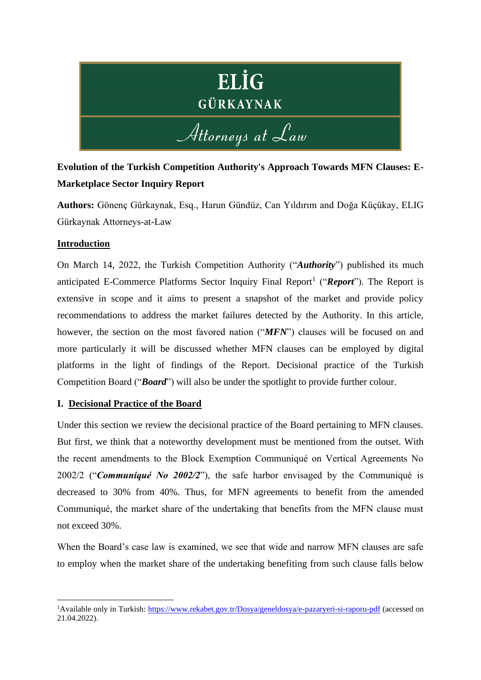# **ELİG** GÜRKAYNAK Attorneys at Law

# **Evolution of the Turkish Competition Authority's Approach Towards MFN Clauses: E-Marketplace Sector Inquiry Report**

**Authors:** Gönenç Gürkaynak, Esq., Harun Gündüz, Can Yıldırım and Doğa Küçükay, ELIG Gürkaynak Attorneys-at-Law

## **Introduction**

On March 14, 2022, the Turkish Competition Authority ("*Authority*") published its much anticipated E-Commerce Platforms Sector Inquiry Final Report<sup>1</sup> ("*Report*"). The Report is extensive in scope and it aims to present a snapshot of the market and provide policy recommendations to address the market failures detected by the Authority. In this article, however, the section on the most favored nation ("*MFN*") clauses will be focused on and more particularly it will be discussed whether MFN clauses can be employed by digital platforms in the light of findings of the Report. Decisional practice of the Turkish Competition Board ("*Board*") will also be under the spotlight to provide further colour.

## **I. Decisional Practice of the Board**

Under this section we review the decisional practice of the Board pertaining to MFN clauses. But first, we think that a noteworthy development must be mentioned from the outset. With the recent amendments to the Block Exemption Communiqué on Vertical Agreements No 2002/2 ("*Communiqué No 2002/2*"), the safe harbor envisaged by the Communiqué is decreased to 30% from 40%. Thus, for MFN agreements to benefit from the amended Communiqué, the market share of the undertaking that benefits from the MFN clause must not exceed 30%.

When the Board's case law is examined, we see that wide and narrow MFN clauses are safe to employ when the market share of the undertaking benefiting from such clause falls below

<sup>&</sup>lt;sup>1</sup>Available only in Turkish:<https://www.rekabet.gov.tr/Dosya/geneldosya/e-pazaryeri-si-raporu-pdf> (accessed on 21.04.2022).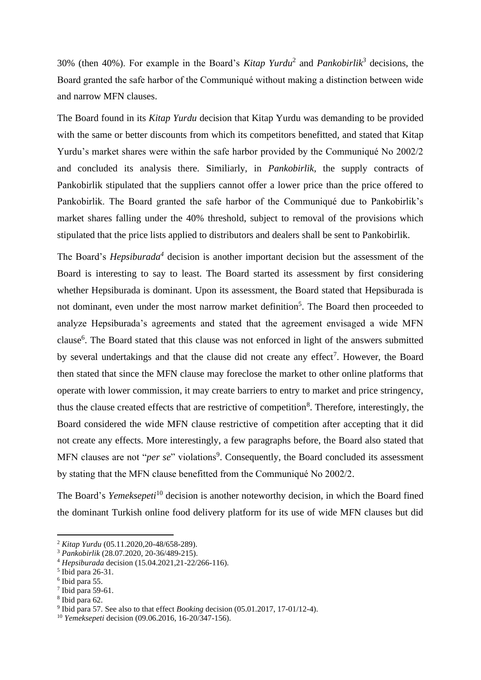30% (then 40%). For example in the Board's *Kitap Yurdu*<sup>2</sup> and *Pankobirlik<sup>3</sup>* decisions, the Board granted the safe harbor of the Communiqué without making a distinction between wide and narrow MFN clauses.

The Board found in its *Kitap Yurdu* decision that Kitap Yurdu was demanding to be provided with the same or better discounts from which its competitors benefitted, and stated that Kitap Yurdu's market shares were within the safe harbor provided by the Communiqué No 2002/2 and concluded its analysis there. Similiarly, in *Pankobirlik*, the supply contracts of Pankobirlik stipulated that the suppliers cannot offer a lower price than the price offered to Pankobirlik. The Board granted the safe harbor of the Communiqué due to Pankobirlik's market shares falling under the 40% threshold, subject to removal of the provisions which stipulated that the price lists applied to distributors and dealers shall be sent to Pankobirlik.

The Board's *Hepsiburada*<sup>4</sup> decision is another important decision but the assessment of the Board is interesting to say to least. The Board started its assessment by first considering whether Hepsiburada is dominant. Upon its assessment, the Board stated that Hepsiburada is not dominant, even under the most narrow market definition<sup>5</sup>. The Board then proceeded to analyze Hepsiburada's agreements and stated that the agreement envisaged a wide MFN clause<sup>6</sup>. The Board stated that this clause was not enforced in light of the answers submitted by several undertakings and that the clause did not create any effect<sup>7</sup>. However, the Board then stated that since the MFN clause may foreclose the market to other online platforms that operate with lower commission, it may create barriers to entry to market and price stringency, thus the clause created effects that are restrictive of competition<sup>8</sup>. Therefore, interestingly, the Board considered the wide MFN clause restrictive of competition after accepting that it did not create any effects. More interestingly, a few paragraphs before, the Board also stated that MFN clauses are not "*per se*" violations<sup>9</sup>. Consequently, the Board concluded its assessment by stating that the MFN clause benefitted from the Communiqué No 2002/2.

The Board's *Yemeksepeti*<sup>10</sup> decision is another noteworthy decision, in which the Board fined the dominant Turkish online food delivery platform for its use of wide MFN clauses but did

<sup>2</sup> *Kitap Yurdu* (05.11.2020,20-48/658-289).

<sup>3</sup> *Pankobirlik* (28.07.2020, 20-36/489-215).

<sup>4</sup> *Hepsiburada* decision (15.04.2021,21-22/266-116).

<sup>5</sup> Ibid para 26-31.

<sup>6</sup> Ibid para 55.

 $7$  Ibid para 59-61.

<sup>8</sup> Ibid para 62.

<sup>9</sup> Ibid para 57. See also to that effect *Booking* decision (05.01.2017, 17-01/12-4).

<sup>10</sup> *Yemeksepeti* decision (09.06.2016, 16-20/347-156).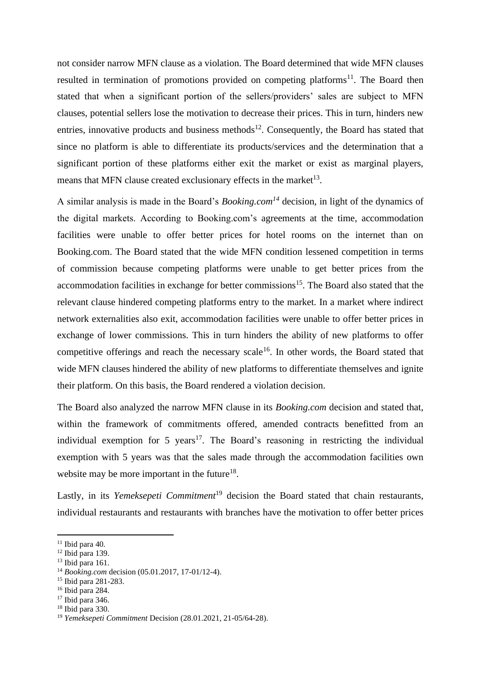not consider narrow MFN clause as a violation. The Board determined that wide MFN clauses resulted in termination of promotions provided on competing platforms<sup>11</sup>. The Board then stated that when a significant portion of the sellers/providers' sales are subject to MFN clauses, potential sellers lose the motivation to decrease their prices. This in turn, hinders new entries, innovative products and business methods<sup>12</sup>. Consequently, the Board has stated that since no platform is able to differentiate its products/services and the determination that a significant portion of these platforms either exit the market or exist as marginal players, means that MFN clause created exclusionary effects in the market<sup>13</sup>.

A similar analysis is made in the Board's *Booking.com<sup>14</sup>* decision, in light of the dynamics of the digital markets. According to Booking.com's agreements at the time, accommodation facilities were unable to offer better prices for hotel rooms on the internet than on Booking.com. The Board stated that the wide MFN condition lessened competition in terms of commission because competing platforms were unable to get better prices from the accommodation facilities in exchange for better commissions<sup>15</sup>. The Board also stated that the relevant clause hindered competing platforms entry to the market. In a market where indirect network externalities also exit, accommodation facilities were unable to offer better prices in exchange of lower commissions. This in turn hinders the ability of new platforms to offer competitive offerings and reach the necessary scale<sup>16</sup>. In other words, the Board stated that wide MFN clauses hindered the ability of new platforms to differentiate themselves and ignite their platform. On this basis, the Board rendered a violation decision.

The Board also analyzed the narrow MFN clause in its *Booking.com* decision and stated that, within the framework of commitments offered, amended contracts benefitted from an individual exemption for 5 years<sup>17</sup>. The Board's reasoning in restricting the individual exemption with 5 years was that the sales made through the accommodation facilities own website may be more important in the future $18$ .

Lastly, in its *Yemeksepeti Commitment*<sup>19</sup> decision the Board stated that chain restaurants, individual restaurants and restaurants with branches have the motivation to offer better prices

 $11$  Ibid para 40.

 $12$  Ibid para 139.

 $13$  Ibid para 161.

<sup>14</sup> *Booking.com* decision (05.01.2017, 17-01/12-4).

<sup>15</sup> Ibid para 281-283.

<sup>16</sup> Ibid para 284.

<sup>17</sup> Ibid para 346.

<sup>18</sup> Ibid para 330.

<sup>19</sup> *Yemeksepeti Commitment* Decision (28.01.2021, 21-05/64-28).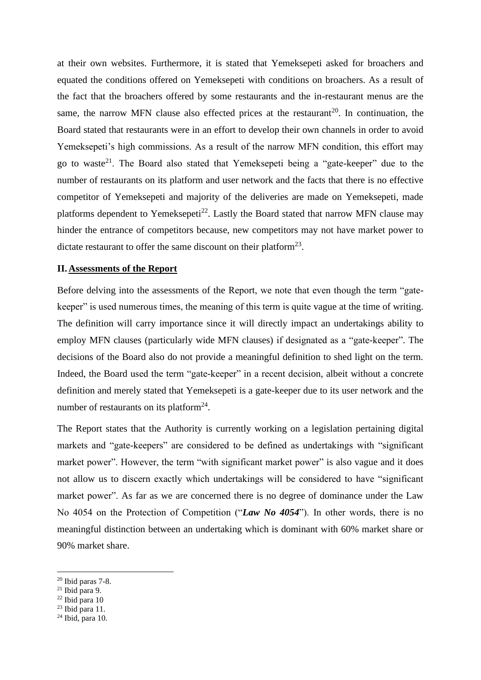at their own websites. Furthermore, it is stated that Yemeksepeti asked for broachers and equated the conditions offered on Yemeksepeti with conditions on broachers. As a result of the fact that the broachers offered by some restaurants and the in-restaurant menus are the same, the narrow MFN clause also effected prices at the restaurant<sup>20</sup>. In continuation, the Board stated that restaurants were in an effort to develop their own channels in order to avoid Yemeksepeti's high commissions. As a result of the narrow MFN condition, this effort may go to waste<sup>21</sup>. The Board also stated that Yemeksepeti being a "gate-keeper" due to the number of restaurants on its platform and user network and the facts that there is no effective competitor of Yemeksepeti and majority of the deliveries are made on Yemeksepeti, made platforms dependent to Yemeksepeti<sup>22</sup>. Lastly the Board stated that narrow MFN clause may hinder the entrance of competitors because, new competitors may not have market power to dictate restaurant to offer the same discount on their platform<sup>23</sup>.

#### **II. Assessments of the Report**

Before delving into the assessments of the Report, we note that even though the term "gatekeeper" is used numerous times, the meaning of this term is quite vague at the time of writing. The definition will carry importance since it will directly impact an undertakings ability to employ MFN clauses (particularly wide MFN clauses) if designated as a "gate-keeper". The decisions of the Board also do not provide a meaningful definition to shed light on the term. Indeed, the Board used the term "gate-keeper" in a recent decision, albeit without a concrete definition and merely stated that Yemeksepeti is a gate-keeper due to its user network and the number of restaurants on its platform<sup>24</sup>.

The Report states that the Authority is currently working on a legislation pertaining digital markets and "gate-keepers" are considered to be defined as undertakings with "significant market power". However, the term "with significant market power" is also vague and it does not allow us to discern exactly which undertakings will be considered to have "significant market power". As far as we are concerned there is no degree of dominance under the Law No 4054 on the Protection of Competition ("*Law No 4054*"). In other words, there is no meaningful distinction between an undertaking which is dominant with 60% market share or 90% market share.

 $20$  Ibid paras 7-8.

 $21$  Ibid para 9.

 $22$  Ibid para 10

 $23$  Ibid para 11.

 $24$  Ibid, para 10.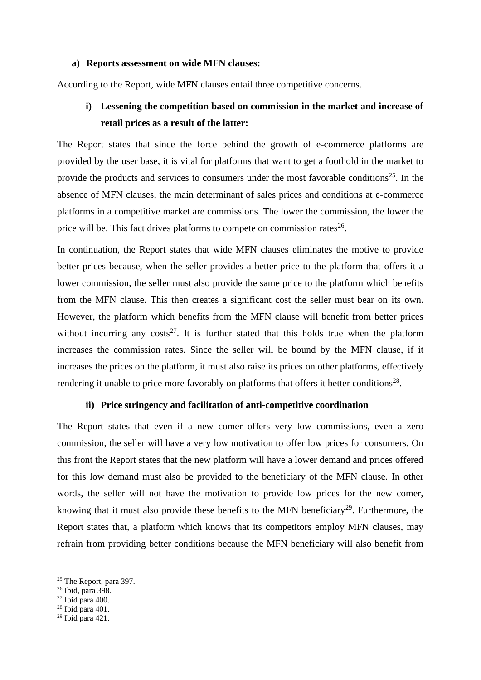#### **a) Reports assessment on wide MFN clauses:**

According to the Report, wide MFN clauses entail three competitive concerns.

## **i) Lessening the competition based on commission in the market and increase of retail prices as a result of the latter:**

The Report states that since the force behind the growth of e-commerce platforms are provided by the user base, it is vital for platforms that want to get a foothold in the market to provide the products and services to consumers under the most favorable conditions<sup>25</sup>. In the absence of MFN clauses, the main determinant of sales prices and conditions at e-commerce platforms in a competitive market are commissions. The lower the commission, the lower the price will be. This fact drives platforms to compete on commission rates $^{26}$ .

In continuation, the Report states that wide MFN clauses eliminates the motive to provide better prices because, when the seller provides a better price to the platform that offers it a lower commission, the seller must also provide the same price to the platform which benefits from the MFN clause. This then creates a significant cost the seller must bear on its own. However, the platform which benefits from the MFN clause will benefit from better prices without incurring any costs<sup>27</sup>. It is further stated that this holds true when the platform increases the commission rates. Since the seller will be bound by the MFN clause, if it increases the prices on the platform, it must also raise its prices on other platforms, effectively rendering it unable to price more favorably on platforms that offers it better conditions<sup>28</sup>.

### **ii) Price stringency and facilitation of anti-competitive coordination**

The Report states that even if a new comer offers very low commissions, even a zero commission, the seller will have a very low motivation to offer low prices for consumers. On this front the Report states that the new platform will have a lower demand and prices offered for this low demand must also be provided to the beneficiary of the MFN clause. In other words, the seller will not have the motivation to provide low prices for the new comer, knowing that it must also provide these benefits to the MFN beneficiary<sup>29</sup>. Furthermore, the Report states that, a platform which knows that its competitors employ MFN clauses, may refrain from providing better conditions because the MFN beneficiary will also benefit from

<sup>&</sup>lt;sup>25</sup> The Report, para 397.

<sup>26</sup> Ibid, para 398.

<sup>27</sup> Ibid para 400.

 $28$  Ibid para 401.

<sup>29</sup> Ibid para 421.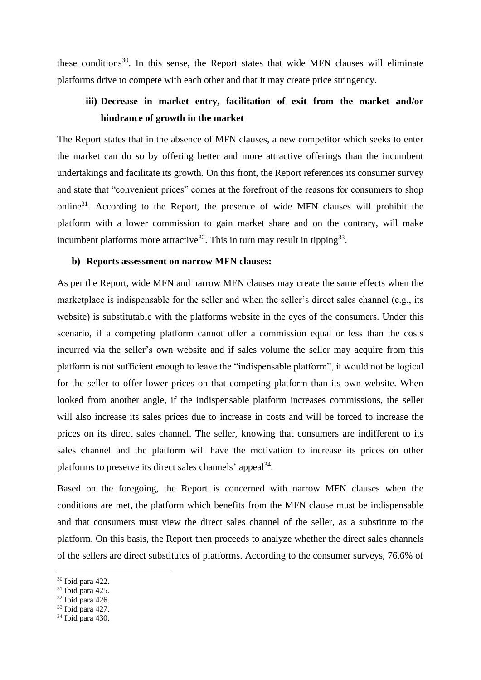these conditions<sup>30</sup>. In this sense, the Report states that wide MFN clauses will eliminate platforms drive to compete with each other and that it may create price stringency.

## **iii) Decrease in market entry, facilitation of exit from the market and/or hindrance of growth in the market**

The Report states that in the absence of MFN clauses, a new competitor which seeks to enter the market can do so by offering better and more attractive offerings than the incumbent undertakings and facilitate its growth. On this front, the Report references its consumer survey and state that "convenient prices" comes at the forefront of the reasons for consumers to shop online<sup>31</sup>. According to the Report, the presence of wide MFN clauses will prohibit the platform with a lower commission to gain market share and on the contrary, will make incumbent platforms more attractive<sup>32</sup>. This in turn may result in tipping<sup>33</sup>.

## **b) Reports assessment on narrow MFN clauses:**

As per the Report, wide MFN and narrow MFN clauses may create the same effects when the marketplace is indispensable for the seller and when the seller's direct sales channel (e.g., its website) is substitutable with the platforms website in the eyes of the consumers. Under this scenario, if a competing platform cannot offer a commission equal or less than the costs incurred via the seller's own website and if sales volume the seller may acquire from this platform is not sufficient enough to leave the "indispensable platform", it would not be logical for the seller to offer lower prices on that competing platform than its own website. When looked from another angle, if the indispensable platform increases commissions, the seller will also increase its sales prices due to increase in costs and will be forced to increase the prices on its direct sales channel. The seller, knowing that consumers are indifferent to its sales channel and the platform will have the motivation to increase its prices on other platforms to preserve its direct sales channels' appeal<sup>34</sup>.

Based on the foregoing, the Report is concerned with narrow MFN clauses when the conditions are met, the platform which benefits from the MFN clause must be indispensable and that consumers must view the direct sales channel of the seller, as a substitute to the platform. On this basis, the Report then proceeds to analyze whether the direct sales channels of the sellers are direct substitutes of platforms. According to the consumer surveys, 76.6% of

<sup>30</sup> Ibid para 422.

 $31$  Ibid para 425.

<sup>32</sup> Ibid para 426.

 $33$  Ibid para 427.

<sup>34</sup> Ibid para 430.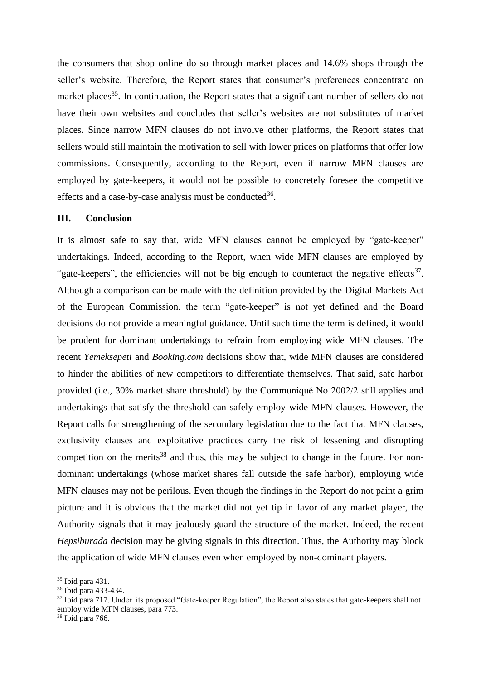the consumers that shop online do so through market places and 14.6% shops through the seller's website. Therefore, the Report states that consumer's preferences concentrate on market places<sup>35</sup>. In continuation, the Report states that a significant number of sellers do not have their own websites and concludes that seller's websites are not substitutes of market places. Since narrow MFN clauses do not involve other platforms, the Report states that sellers would still maintain the motivation to sell with lower prices on platforms that offer low commissions. Consequently, according to the Report, even if narrow MFN clauses are employed by gate-keepers, it would not be possible to concretely foresee the competitive effects and a case-by-case analysis must be conducted $36$ .

#### **III. Conclusion**

It is almost safe to say that, wide MFN clauses cannot be employed by "gate-keeper" undertakings. Indeed, according to the Report, when wide MFN clauses are employed by "gate-keepers", the efficiencies will not be big enough to counteract the negative effects<sup>37</sup>. Although a comparison can be made with the definition provided by the Digital Markets Act of the European Commission, the term "gate-keeper" is not yet defined and the Board decisions do not provide a meaningful guidance. Until such time the term is defined, it would be prudent for dominant undertakings to refrain from employing wide MFN clauses. The recent *Yemeksepeti* and *Booking.com* decisions show that, wide MFN clauses are considered to hinder the abilities of new competitors to differentiate themselves. That said, safe harbor provided (i.e., 30% market share threshold) by the Communiqué No 2002/2 still applies and undertakings that satisfy the threshold can safely employ wide MFN clauses. However, the Report calls for strengthening of the secondary legislation due to the fact that MFN clauses, exclusivity clauses and exploitative practices carry the risk of lessening and disrupting competition on the merits<sup>38</sup> and thus, this may be subject to change in the future. For nondominant undertakings (whose market shares fall outside the safe harbor), employing wide MFN clauses may not be perilous. Even though the findings in the Report do not paint a grim picture and it is obvious that the market did not yet tip in favor of any market player, the Authority signals that it may jealously guard the structure of the market. Indeed, the recent *Hepsiburada* decision may be giving signals in this direction. Thus, the Authority may block the application of wide MFN clauses even when employed by non-dominant players.

<sup>35</sup> Ibid para 431.

<sup>36</sup> Ibid para 433-434.

<sup>&</sup>lt;sup>37</sup> Ibid para 717. Under its proposed "Gate-keeper Regulation", the Report also states that gate-keepers shall not employ wide MFN clauses, para 773.

<sup>38</sup> Ibid para 766.